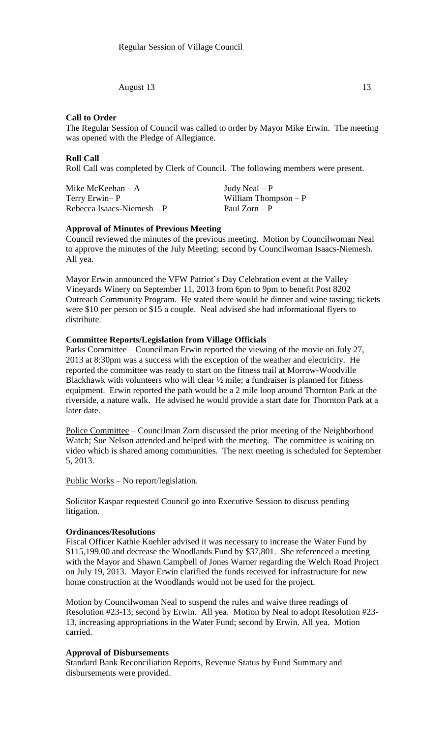August 13 13

# **Call to Order**

The Regular Session of Council was called to order by Mayor Mike Erwin. The meeting was opened with the Pledge of Allegiance.

## **Roll Call**

Roll Call was completed by Clerk of Council. The following members were present.

Mike McKeehan – A  $Judy$  Neal – P Terry Erwin– P William Thompson – P  $Rebecca Isaacs-Niemesh - P$  Paul Zorn – P

# **Approval of Minutes of Previous Meeting**

Council reviewed the minutes of the previous meeting. Motion by Councilwoman Neal to approve the minutes of the July Meeting; second by Councilwoman Isaacs-Niemesh. All yea.

Mayor Erwin announced the VFW Patriot's Day Celebration event at the Valley Vineyards Winery on September 11, 2013 from 6pm to 9pm to benefit Post 8202 Outreach Community Program. He stated there would be dinner and wine tasting; tickets were \$10 per person or \$15 a couple. Neal advised she had informational flyers to distribute.

### **Committee Reports/Legislation from Village Officials**

Parks Committee – Councilman Erwin reported the viewing of the movie on July 27, 2013 at 8:30pm was a success with the exception of the weather and electricity. He reported the committee was ready to start on the fitness trail at Morrow-Woodville Blackhawk with volunteers who will clear ½ mile; a fundraiser is planned for fitness equipment. Erwin reported the path would be a 2 mile loop around Thornton Park at the riverside, a nature walk. He advised he would provide a start date for Thornton Park at a later date.

Police Committee – Councilman Zorn discussed the prior meeting of the Neighborhood Watch; Sue Nelson attended and helped with the meeting. The committee is waiting on video which is shared among communities. The next meeting is scheduled for September 5, 2013.

Public Works – No report/legislation.

Solicitor Kaspar requested Council go into Executive Session to discuss pending litigation.

#### **Ordinances/Resolutions**

Fiscal Officer Kathie Koehler advised it was necessary to increase the Water Fund by \$115,199.00 and decrease the Woodlands Fund by \$37,801. She referenced a meeting with the Mayor and Shawn Campbell of Jones Warner regarding the Welch Road Project on July 19, 2013. Mayor Erwin clarified the funds received for infrastructure for new home construction at the Woodlands would not be used for the project.

Motion by Councilwoman Neal to suspend the rules and waive three readings of Resolution #23-13; second by Erwin. All yea. Motion by Neal to adopt Resolution #23- 13, increasing appropriations in the Water Fund; second by Erwin. All yea. Motion carried.

#### **Approval of Disbursements**

Standard Bank Reconciliation Reports, Revenue Status by Fund Summary and disbursements were provided.